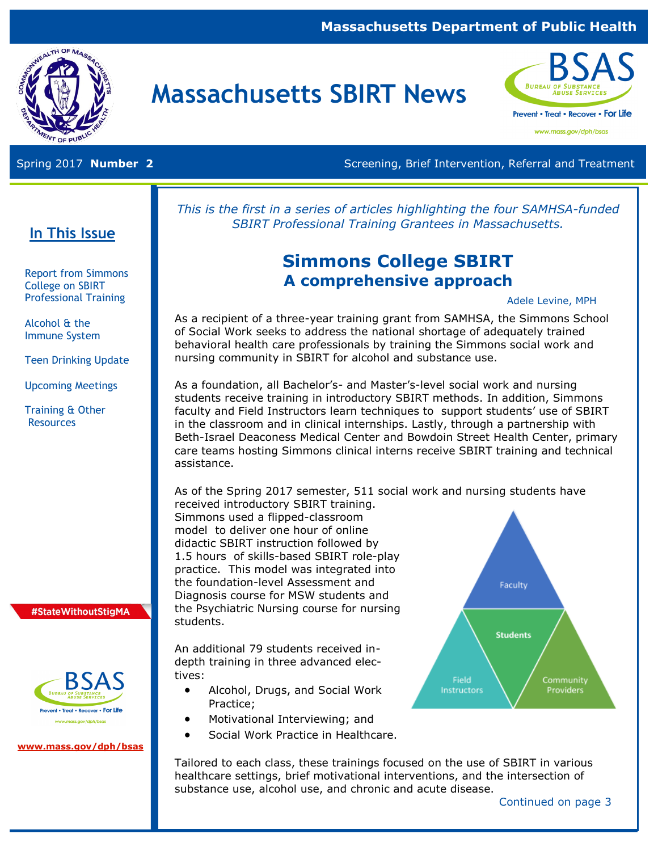### **Massachusetts Department of Public Health**



# **Massachusetts SBIRT News**



www.mass.gov/dph/bsas

Spring 2017 **Number 2** Screening, Brief Intervention, Referral and Treatment

*This is the first in a series of articles highlighting the four SAMHSA-funded SBIRT Professional Training Grantees in Massachusetts.* 

# **Simmons College SBIRT A comprehensive approach**

Adele Levine, MPH

As a recipient of a three-year training grant from SAMHSA, the Simmons School of Social Work seeks to address the national shortage of adequately trained behavioral health care professionals by training the Simmons social work and nursing community in SBIRT for alcohol and substance use.

As a foundation, all Bachelor's- and Master's-level social work and nursing students receive training in introductory SBIRT methods. In addition, Simmons faculty and Field Instructors learn techniques to support students' use of SBIRT in the classroom and in clinical internships. Lastly, through a partnership with Beth-Israel Deaconess Medical Center and Bowdoin Street Health Center, primary care teams hosting Simmons clinical interns receive SBIRT training and technical assistance.

As of the Spring 2017 semester, 511 social work and nursing students have received introductory SBIRT training.

Simmons used a flipped-classroom model to deliver one hour of online didactic SBIRT instruction followed by 1.5 hours of skills-based SBIRT role-play practice. This model was integrated into the foundation-level Assessment and Diagnosis course for MSW students and the Psychiatric Nursing course for nursing students.

An additional 79 students received indepth training in three advanced electives:

- Alcohol, Drugs, and Social Work Practice;
- Motivational Interviewing; and
- Social Work Practice in Healthcare.

Tailored to each class, these trainings focused on the use of SBIRT in various healthcare settings, brief motivational interventions, and the intersection of substance use, alcohol use, and chronic and acute disease.



#### Continued on page 3

## **In This Issue**

Report from Simmons College on SBIRT Professional Training

Alcohol & the Immune System

Teen Drinking Update

Upcoming Meetings

Training & Other **Resources** 

#### #StateWithoutStigMA



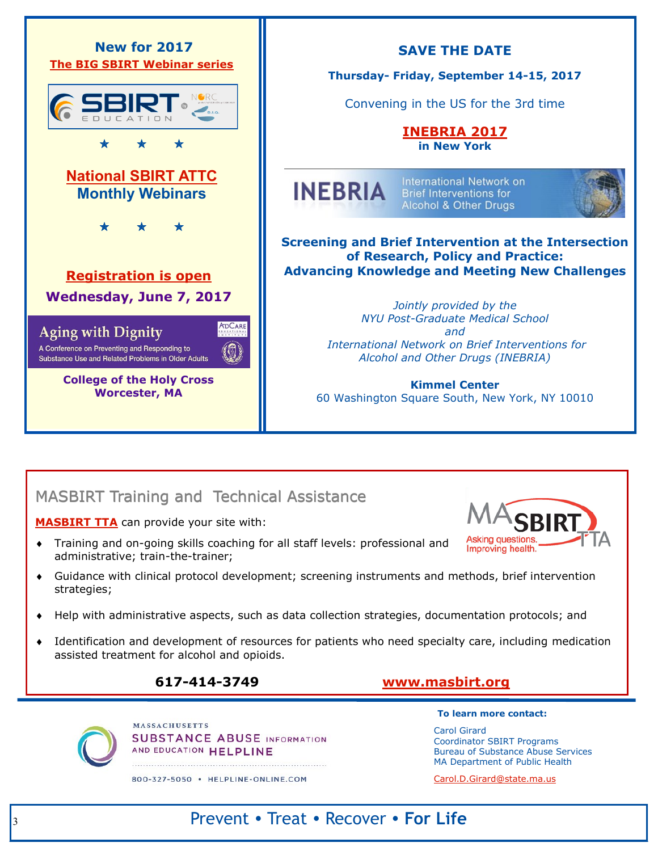

## MASBIRT Training and Technical Assistance

**[MASBIRT TTA](http://www.masbirt.org/)** can provide your site with:

- Training and on-going skills coaching for all staff levels: professional and administrative; train-the-trainer;
- Guidance with clinical protocol development; screening instruments and methods, brief intervention strategies;
- Help with administrative aspects, such as data collection strategies, documentation protocols; and
- Identification and development of resources for patients who need specialty care, including medication assisted treatment for alcohol and opioids.

### **617-414-3749 [www.masbirt.org](http://www.masbirt.org/)**

**MASSACHUSETTS SUBSTANCE ABUSE INFORMATION** AND EDUCATION HELPLINE 

#### 800-327-5050 · HELPLINE-ONLINE.COM

**To learn more contact:** 

**Asking questions.** Improving health.

Carol Girard Coordinator SBIRT Programs Bureau of Substance Abuse Services MA Department of Public Health

[Carol.D.Girard@state.ma.us](mailto:%20Carol.D.Girard@state.ma.us)

# Prevent • Treat • Recover • **For Life**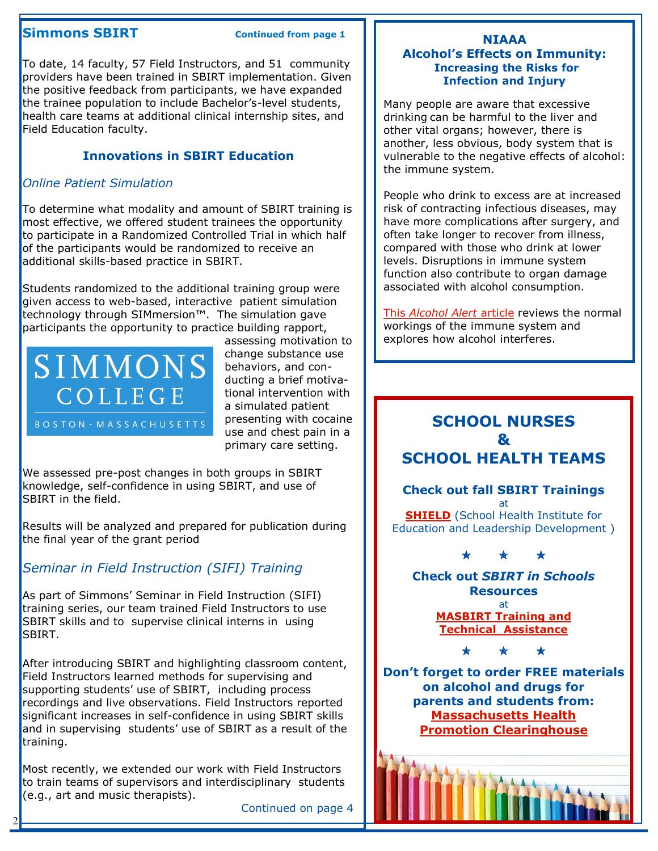#### **Simmons SBIRT Continued from page 1**

To date, 14 faculty, 57 Field Instructors, and 51 community providers have been trained in SBIRT implementation. Given the positive feedback from participants, we have expanded the trainee population to include Bachelor's-level students, health care teams at additional clinical internship sites, and Field Education faculty.

#### **Innovations in SBIRT Education**

#### *Online Patient Simulation*

To determine what modality and amount of SBIRT training is most effective, we offered student trainees the opportunity to participate in a Randomized Controlled Trial in which half of the participants would be randomized to receive an additional skills-based practice in SBIRT.

Students randomized to the additional training group were given access to web-based, interactive patient simulation technology through SIMmersion™. The simulation gave participants the opportunity to practice building rapport,



assessing motivation to change substance use behaviors, and conducting a brief motivational intervention with a simulated patient presenting with cocaine use and chest pain in a primary care setting.

We assessed pre-post changes in both groups in SBIRT knowledge, self-confidence in using SBIRT, and use of SBIRT in the field.

Results will be analyzed and prepared for publication during the final year of the grant period

### *Seminar in Field Instruction (SIFI) Training*

As part of Simmons' Seminar in Field Instruction (SIFI) training series, our team trained Field Instructors to use SBIRT skills and to supervise clinical interns in using SBIRT.

After introducing SBIRT and highlighting classroom content, Field Instructors learned methods for supervising and supporting students' use of SBIRT, including process recordings and live observations. Field Instructors reported significant increases in self-confidence in using SBIRT skills and in supervising students' use of SBIRT as a result of the training.

Most recently, we extended our work with Field Instructors to train teams of supervisors and interdisciplinary students (e.g., art and music therapists).

2

Continued on page 4

#### **NIAAA Alcohol's Effects on Immunity: Increasing the Risks for Infection and Injury**

Many people are aware that excessive drinking can be harmful to the liver and other vital organs; however, there is another, less obvious, body system that is vulnerable to the negative effects of alcohol: the immune system.

People who drink to excess are at increased risk of contracting infectious diseases, may have more complications after surgery, and often take longer to recover from illness, compared with those who drink at lower levels. Disruptions in immune system function also contribute to organ damage associated with alcohol consumption.

This *[Alcohol Alert](https://pubs.niaaa.nih.gov/publications/AA89/AA89.htm)* article reviews the normal workings of the immune system and explores how alcohol interferes.

## **SCHOOL NURSES & SCHOOL HEALTH TEAMS**

**Check out fall SBIRT Trainings**  at **[SHIELD](http://www.SHIELD-BU.org)** (School Health Institute for Education and Leadership Development )

\* \* \*

**Check out** *SBIRT in Schools*  **Resources**  at **[MASBIRT Training and](http://www.masbirt.org)  [Technical Assistance](http://www.masbirt.org)**

\* \* \*

**Don't forget to order FREE materials on alcohol and drugs for parents and students from: [Massachusetts Health](https://massclearinghouse.ehs.state.ma.us/)  [Promotion Clearinghouse](https://massclearinghouse.ehs.state.ma.us/)**